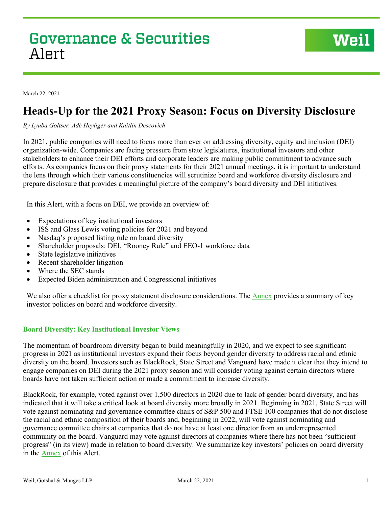March 22, 2021

# **Heads-Up for the 2021 Proxy Season: Focus on Diversity Disclosure**

*By Lyuba Goltser, Adé Heyliger and Kaitlin Descovich* 

In 2021, public companies will need to focus more than ever on addressing diversity, equity and inclusion (DEI) organization-wide. Companies are facing pressure from state legislatures, institutional investors and other stakeholders to enhance their DEI efforts and corporate leaders are making public commitment to advance such efforts. As companies focus on their proxy statements for their 2021 annual meetings, it is important to understand the lens through which their various constituencies will scrutinize board and workforce diversity disclosure and prepare disclosure that provides a meaningful picture of the company's board diversity and DEI initiatives.

In this Alert, with a focus on DEI, we provide an overview of:

- Expectations of key institutional investors
- ISS and Glass Lewis voting policies for 2021 and beyond
- Nasdaq's proposed listing rule on board diversity
- Shareholder proposals: DEI, "Rooney Rule" and EEO-1 workforce data
- State legislative initiatives
- Recent shareholder litigation
- Where the SEC stands
- Expected Biden administration and Congressional initiatives

We also offer a checklist for proxy statement disclosure considerations. The **Annex** provides a summary of key investor policies on board and workforce diversity.

## **Board Diversity: Key Institutional Investor Views**

The momentum of boardroom diversity began to build meaningfully in 2020, and we expect to see significant progress in 2021 as institutional investors expand their focus beyond gender diversity to address racial and ethnic diversity on the board. Investors such as BlackRock, State Street and Vanguard have made it clear that they intend to engage companies on DEI during the 2021 proxy season and will consider voting against certain directors where boards have not taken sufficient action or made a commitment to increase diversity.

BlackRock, for example, voted against over 1,500 directors in 2020 due to lack of gender board diversity, and has indicated that it will take a critical look at board diversity more broadly in 2021. Beginning in 2021, State Street will vote against nominating and governance committee chairs of S&P 500 and FTSE 100 companies that do not disclose the racial and ethnic composition of their boards and, beginning in 2022, will vote against nominating and governance committee chairs at companies that do not have at least one director from an underrepresented community on the board. Vanguard may vote against directors at companies where there has not been "sufficient progress" (in its view) made in relation to board diversity. We summarize key investors' policies on board diversity in the [Annex](#page-6-0) of this Alert.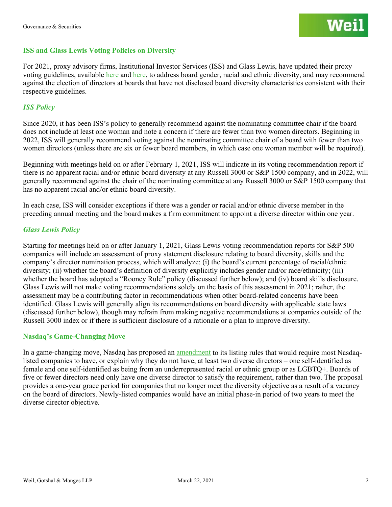## **ISS and Glass Lewis Voting Policies on Diversity**

For 2021, proxy advisory firms, Institutional Investor Services (ISS) and Glass Lewis, have updated their proxy voting guidelines, available [here](https://www.issgovernance.com/file/policy/active/americas/US-Voting-Guidelines.pdf) and [here,](https://www.glasslewis.com/voting-policies-current/) to address board gender, racial and ethnic diversity, and may recommend against the election of directors at boards that have not disclosed board diversity characteristics consistent with their respective guidelines.

# *ISS Policy*

Since 2020, it has been ISS's policy to generally recommend against the nominating committee chair if the board does not include at least one woman and note a concern if there are fewer than two women directors. Beginning in 2022, ISS will generally recommend voting against the nominating committee chair of a board with fewer than two women directors (unless there are six or fewer board members, in which case one woman member will be required).

Beginning with meetings held on or after February 1, 2021, ISS will indicate in its voting recommendation report if there is no apparent racial and/or ethnic board diversity at any Russell 3000 or S&P 1500 company, and in 2022, will generally recommend against the chair of the nominating committee at any Russell 3000 or S&P 1500 company that has no apparent racial and/or ethnic board diversity.

In each case, ISS will consider exceptions if there was a gender or racial and/or ethnic diverse member in the preceding annual meeting and the board makes a firm commitment to appoint a diverse director within one year.

## *Glass Lewis Policy*

Starting for meetings held on or after January 1, 2021, Glass Lewis voting recommendation reports for S&P 500 companies will include an assessment of proxy statement disclosure relating to board diversity, skills and the company's director nomination process, which will analyze: (i) the board's current percentage of racial/ethnic diversity; (ii) whether the board's definition of diversity explicitly includes gender and/or race/ethnicity; (iii) whether the board has adopted a "Rooney Rule" policy (discussed further below); and (iv) board skills disclosure. Glass Lewis will not make voting recommendations solely on the basis of this assessment in 2021; rather, the assessment may be a contributing factor in recommendations when other board-related concerns have been identified. Glass Lewis will generally align its recommendations on board diversity with applicable state laws (discussed further below), though may refrain from making negative recommendations at companies outside of the Russell 3000 index or if there is sufficient disclosure of a rationale or a plan to improve diversity.

## **Nasdaq's Game-Changing Move**

In a game-changing move, Nasdaq has proposed an [amendment](https://listingcenter.nasdaq.com/assets/RuleBook/Nasdaq/filings/SR-NASDAQ-2020-081_Amendment_1.pdf) to its listing rules that would require most Nasdaqlisted companies to have, or explain why they do not have, at least two diverse directors – one self-identified as female and one self-identified as being from an underrepresented racial or ethnic group or as LGBTQ+. Boards of five or fewer directors need only have one diverse director to satisfy the requirement, rather than two. The proposal provides a one-year grace period for companies that no longer meet the diversity objective as a result of a vacancy on the board of directors. Newly-listed companies would have an initial phase-in period of two years to meet the diverse director objective.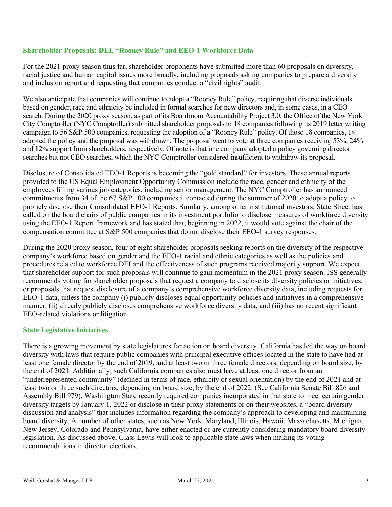# **Shareholder Proposals: DEI, "Rooney Rule" and EEO-1 Workforce Data**

For the 2021 proxy season thus far, shareholder proponents have submitted more than 60 proposals on diversity, racial justice and human capital issues more broadly, including proposals asking companies to prepare a diversity and inclusion report and requesting that companies conduct a "civil rights" audit.

We also anticipate that companies will continue to adopt a "Rooney Rule" policy, requiring that diverse individuals based on gender, race and ethnicity be included in formal searches for new directors and, in some cases, in a CEO search. During the 2020 proxy season, as part of its Boardroom Accountability Project 3.0, the Office of the New York City Comptroller (NYC Comptroller) submitted shareholder proposals to 18 companies following its 2019 letter writing campaign to 56 S&P 500 companies, requesting the adoption of a "Rooney Rule" policy. Of those 18 companies, 14 adopted the policy and the proposal was withdrawn. The proposal went to vote at three companies receiving 53%, 24% and 12% support from shareholders, respectively. Of note is that one company adopted a policy governing director searches but not CEO searches, which the NYC Comptroller considered insufficient to withdraw its proposal.

Disclosure of Consolidated EEO-1 Reports is becoming the "gold standard" for investors. These annual reports provided to the US Equal Employment Opportunity Commission include the race, gender and ethnicity of the employees filling various job categories, including senior management. The NYC Comptroller has announced commitments from 34 of the 67 S&P 100 companies it contacted during the summer of 2020 to adopt a policy to publicly disclose their Consolidated EEO-1 Reports. Similarly, among other institutional investors, State Street has called on the board chairs of public companies in its investment portfolio to disclose measures of workforce diversity using the EEO-1 Report framework and has stated that, beginning in 2022, it would vote against the chair of the compensation committee at S&P 500 companies that do not disclose their EEO-1 survey responses.

During the 2020 proxy season, four of eight shareholder proposals seeking reports on the diversity of the respective company's workforce based on gender and the EEO-1 racial and ethnic categories as well as the policies and procedures related to workforce DEI and the effectiveness of such programs received majority support. We expect that shareholder support for such proposals will continue to gain momentum in the 2021 proxy season. ISS generally recommends voting for shareholder proposals that request a company to disclose its diversity policies or initiatives, or proposals that request disclosure of a company's comprehensive workforce diversity data, including requests for EEO-1 data, unless the company (i) publicly discloses equal opportunity policies and initiatives in a comprehensive manner, (ii) already publicly discloses comprehensive workforce diversity data, and (iii) has no recent significant EEO-related violations or litigation.

# **State Legislative Initiatives**

There is a growing movement by state legislatures for action on board diversity. California has led the way on board diversity with laws that require public companies with principal executive offices located in the state to have had at least one female director by the end of 2019, and at least two or three female directors, depending on board size, by the end of 2021. Additionally, such California companies also must have at least one director from an "underrepresented community" (defined in terms of race, ethnicity or sexual orientation) by the end of 2021 and at least two or three such directors, depending on board size, by the end of 2022. (See California Senate Bill 826 and Assembly Bill 979). Washington State recently required companies incorporated in that state to meet certain gender diversity targets by January 1, 2022 or disclose in their proxy statements or on their websites, a "board diversity discussion and analysis" that includes information regarding the company's approach to developing and maintaining board diversity. A number of other states, such as New York, Maryland, Illinois, Hawaii, Massachusetts, Michigan, New Jersey, Colorado and Pennsylvania, have either enacted or are currently considering mandatory board diversity legislation. As discussed above, Glass Lewis will look to applicable state laws when making its voting recommendations in director elections.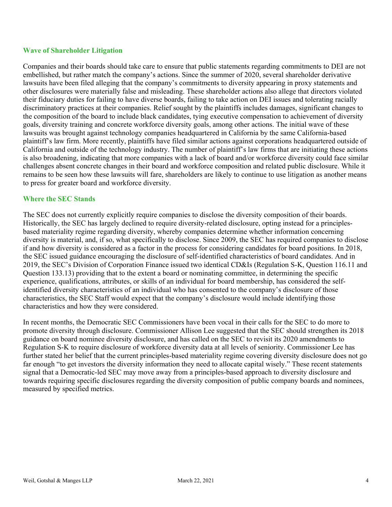## **Wave of Shareholder Litigation**

Companies and their boards should take care to ensure that public statements regarding commitments to DEI are not embellished, but rather match the company's actions. Since the summer of 2020, several shareholder derivative lawsuits have been filed alleging that the company's commitments to diversity appearing in proxy statements and other disclosures were materially false and misleading. These shareholder actions also allege that directors violated their fiduciary duties for failing to have diverse boards, failing to take action on DEI issues and tolerating racially discriminatory practices at their companies. Relief sought by the plaintiffs includes damages, significant changes to the composition of the board to include black candidates, tying executive compensation to achievement of diversity goals, diversity training and concrete workforce diversity goals, among other actions. The initial wave of these lawsuits was brought against technology companies headquartered in California by the same California-based plaintiff's law firm. More recently, plaintiffs have filed similar actions against corporations headquartered outside of California and outside of the technology industry. The number of plaintiff's law firms that are initiating these actions is also broadening, indicating that more companies with a lack of board and/or workforce diversity could face similar challenges absent concrete changes in their board and workforce composition and related public disclosure. While it remains to be seen how these lawsuits will fare, shareholders are likely to continue to use litigation as another means to press for greater board and workforce diversity.

## **Where the SEC Stands**

The SEC does not currently explicitly require companies to disclose the diversity composition of their boards. Historically, the SEC has largely declined to require diversity-related disclosure, opting instead for a principlesbased materiality regime regarding diversity, whereby companies determine whether information concerning diversity is material, and, if so, what specifically to disclose. Since 2009, the SEC has required companies to disclose if and how diversity is considered as a factor in the process for considering candidates for board positions. In 2018, the SEC issued guidance encouraging the disclosure of self-identified characteristics of board candidates. And in 2019, the SEC's Division of Corporation Finance issued two identical CD&Is (Regulation S-K, Question 116.11 and Question 133.13) providing that to the extent a board or nominating committee, in determining the specific experience, qualifications, attributes, or skills of an individual for board membership, has considered the selfidentified diversity characteristics of an individual who has consented to the company's disclosure of those characteristics, the SEC Staff would expect that the company's disclosure would include identifying those characteristics and how they were considered.

In recent months, the Democratic SEC Commissioners have been vocal in their calls for the SEC to do more to promote diversity through disclosure. Commissioner Allison Lee suggested that the SEC should strengthen its 2018 guidance on board nominee diversity disclosure, and has called on the SEC to revisit its 2020 amendments to Regulation S-K to require disclosure of workforce diversity data at all levels of seniority. Commissioner Lee has further stated her belief that the current principles-based materiality regime covering diversity disclosure does not go far enough "to get investors the diversity information they need to allocate capital wisely." These recent statements signal that a Democratic-led SEC may move away from a principles-based approach to diversity disclosure and towards requiring specific disclosures regarding the diversity composition of public company boards and nominees, measured by specified metrics.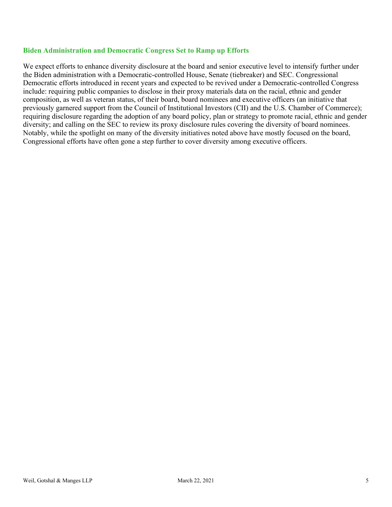## **Biden Administration and Democratic Congress Set to Ramp up Efforts**

We expect efforts to enhance diversity disclosure at the board and senior executive level to intensify further under the Biden administration with a Democratic-controlled House, Senate (tiebreaker) and SEC. Congressional Democratic efforts introduced in recent years and expected to be revived under a Democratic-controlled Congress include: requiring public companies to disclose in their proxy materials data on the racial, ethnic and gender composition, as well as veteran status, of their board, board nominees and executive officers (an initiative that previously garnered support from the Council of Institutional Investors (CII) and the U.S. Chamber of Commerce); requiring disclosure regarding the adoption of any board policy, plan or strategy to promote racial, ethnic and gender diversity; and calling on the SEC to review its proxy disclosure rules covering the diversity of board nominees. Notably, while the spotlight on many of the diversity initiatives noted above have mostly focused on the board, Congressional efforts have often gone a step further to cover diversity among executive officers.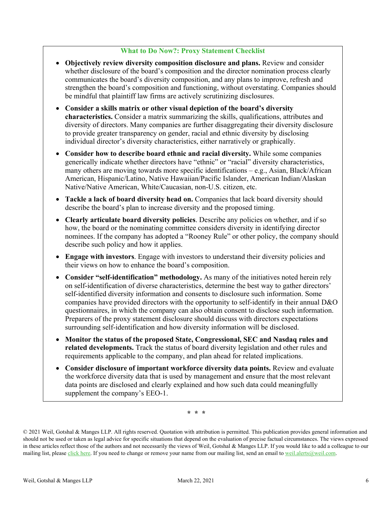# **What to Do Now?: Proxy Statement Checklist**

- **Objectively review diversity composition disclosure and plans.** Review and consider whether disclosure of the board's composition and the director nomination process clearly communicates the board's diversity composition, and any plans to improve, refresh and strengthen the board's composition and functioning, without overstating. Companies should be mindful that plaintiff law firms are actively scrutinizing disclosures.
- **Consider a skills matrix or other visual depiction of the board's diversity characteristics.** Consider a matrix summarizing the skills, qualifications, attributes and diversity of directors. Many companies are further disaggregating their diversity disclosure to provide greater transparency on gender, racial and ethnic diversity by disclosing individual director's diversity characteristics, either narratively or graphically.
- **Consider how to describe board ethnic and racial diversity.** While some companies generically indicate whether directors have "ethnic" or "racial" diversity characteristics, many others are moving towards more specific identifications – e.g., Asian, Black/African American, Hispanic/Latino, Native Hawaiian/Pacific Islander, American Indian/Alaskan Native/Native American, White/Caucasian, non-U.S. citizen, etc.
- **Tackle a lack of board diversity head on.** Companies that lack board diversity should describe the board's plan to increase diversity and the proposed timing.
- **Clearly articulate board diversity policies**. Describe any policies on whether, and if so how, the board or the nominating committee considers diversity in identifying director nominees. If the company has adopted a "Rooney Rule" or other policy, the company should describe such policy and how it applies.
- **Engage with investors**. Engage with investors to understand their diversity policies and their views on how to enhance the board's composition.
- **Consider "self-identification" methodology.** As many of the initiatives noted herein rely on self-identification of diverse characteristics, determine the best way to gather directors' self-identified diversity information and consents to disclosure such information. Some companies have provided directors with the opportunity to self-identify in their annual D&O questionnaires, in which the company can also obtain consent to disclose such information. Preparers of the proxy statement disclosure should discuss with directors expectations surrounding self-identification and how diversity information will be disclosed.
- **Monitor the status of the proposed State, Congressional, SEC and Nasdaq rules and related developments.** Track the status of board diversity legislation and other rules and requirements applicable to the company, and plan ahead for related implications.
- **Consider disclosure of important workforce diversity data points.** Review and evaluate the workforce diversity data that is used by management and ensure that the most relevant data points are disclosed and clearly explained and how such data could meaningfully supplement the company's EEO-1.

*\* \* \**

<sup>©</sup> 2021 Weil, Gotshal & Manges LLP. All rights reserved. Quotation with attribution is permitted. This publication provides general information and should not be used or taken as legal advice for specific situations that depend on the evaluation of precise factual circumstances. The views expressed in these articles reflect those of the authors and not necessarily the views of Weil, Gotshal & Manges LLP. If you would like to add a colleague to our mailing list, please [click here.](http://www.weil.com/subscription) If you need to change or remove your name from our mailing list, send an email t[o weil.alerts@weil.com.](mailto:weil.alerts@weil.com)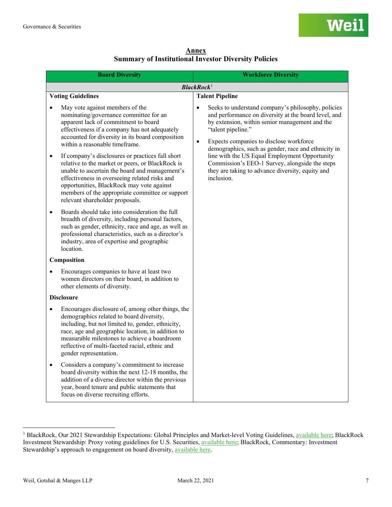**Annex Summary of Institutional Investor Diversity Policies**

<span id="page-6-0"></span>

| <b>Board Diversity</b>                                                                                                                                                                                                                                                                                                                                                                                                                                                                                                                                                                                                           | <b>Workforce Diversity</b>                                                                                                                                                                                                                                                                                                                                                                                                                                                          |  |
|----------------------------------------------------------------------------------------------------------------------------------------------------------------------------------------------------------------------------------------------------------------------------------------------------------------------------------------------------------------------------------------------------------------------------------------------------------------------------------------------------------------------------------------------------------------------------------------------------------------------------------|-------------------------------------------------------------------------------------------------------------------------------------------------------------------------------------------------------------------------------------------------------------------------------------------------------------------------------------------------------------------------------------------------------------------------------------------------------------------------------------|--|
| <b>BlackRock</b> <sup>1</sup>                                                                                                                                                                                                                                                                                                                                                                                                                                                                                                                                                                                                    |                                                                                                                                                                                                                                                                                                                                                                                                                                                                                     |  |
| <b>Voting Guidelines</b>                                                                                                                                                                                                                                                                                                                                                                                                                                                                                                                                                                                                         | <b>Talent Pipeline</b>                                                                                                                                                                                                                                                                                                                                                                                                                                                              |  |
| May vote against members of the<br>$\bullet$<br>nominating/governance committee for an<br>apparent lack of commitment to board<br>effectiveness if a company has not adequately<br>accounted for diversity in its board composition<br>within a reasonable timeframe.<br>If company's disclosures or practices fall short<br>$\bullet$<br>relative to the market or peers, or BlackRock is<br>unable to ascertain the board and management's<br>effectiveness in overseeing related risks and<br>opportunities, BlackRock may vote against<br>members of the appropriate committee or support<br>relevant shareholder proposals. | Seeks to understand company's philosophy, policies<br>$\bullet$<br>and performance on diversity at the board level, and<br>by extension, within senior management and the<br>"talent pipeline."<br>Expects companies to disclose workforce<br>$\bullet$<br>demographics, such as gender, race and ethnicity in<br>line with the US Equal Employment Opportunity<br>Commission's EEO-1 Survey, alongside the steps<br>they are taking to advance diversity, equity and<br>inclusion. |  |
| Boards should take into consideration the full<br>$\bullet$<br>breadth of diversity, including personal factors,<br>such as gender, ethnicity, race and age, as well as<br>professional characteristics, such as a director's<br>industry, area of expertise and geographic<br>location.                                                                                                                                                                                                                                                                                                                                         |                                                                                                                                                                                                                                                                                                                                                                                                                                                                                     |  |
| Composition                                                                                                                                                                                                                                                                                                                                                                                                                                                                                                                                                                                                                      |                                                                                                                                                                                                                                                                                                                                                                                                                                                                                     |  |
| Encourages companies to have at least two<br>$\bullet$<br>women directors on their board, in addition to<br>other elements of diversity.                                                                                                                                                                                                                                                                                                                                                                                                                                                                                         |                                                                                                                                                                                                                                                                                                                                                                                                                                                                                     |  |
| <b>Disclosure</b>                                                                                                                                                                                                                                                                                                                                                                                                                                                                                                                                                                                                                |                                                                                                                                                                                                                                                                                                                                                                                                                                                                                     |  |
| Encourages disclosure of, among other things, the<br>demographics related to board diversity,<br>including, but not limited to, gender, ethnicity,<br>race, age and geographic location, in addition to<br>measurable milestones to achieve a boardroom<br>reflective of multi-faceted racial, ethnic and<br>gender representation.                                                                                                                                                                                                                                                                                              |                                                                                                                                                                                                                                                                                                                                                                                                                                                                                     |  |
| Considers a company's commitment to increase<br>$\bullet$<br>board diversity within the next 12-18 months, the<br>addition of a diverse director within the previous<br>year, board tenure and public statements that<br>focus on diverse recruiting efforts.                                                                                                                                                                                                                                                                                                                                                                    |                                                                                                                                                                                                                                                                                                                                                                                                                                                                                     |  |

<span id="page-6-1"></span><sup>&</sup>lt;sup>1</sup> BlackRock, Our 2021 Stewardship Expectations: Global Principles and Market-level Voting Guidelines[, available here;](https://www.blackrock.com/corporate/literature/publication/our-2021-stewardship-expectations.pdf) BlackRock Investment Stewardship: Proxy voting guidelines for U.S. Securities[, available here;](https://www.blackrock.com/corporate/literature/fact-sheet/blk-responsible-investment-guidelines-us.pdf) BlackRock, Commentary: Investment Stewardship's approach to engagement on board diversity, [available here.](https://www.blackrock.com/corporate/literature/publication/blk-commentary-engaging-on-diversity.pdf)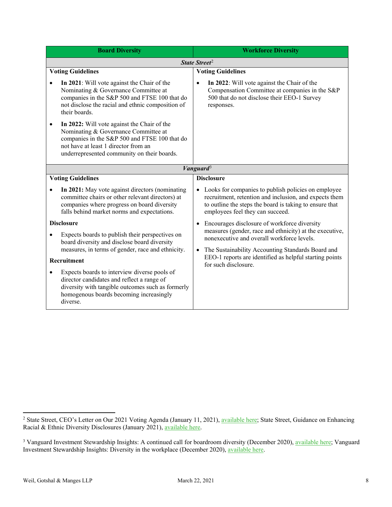| <b>Board Diversity</b>                                                                                                                                                                                                           | <b>Workforce Diversity</b>                                                                                                                                                                                   |  |
|----------------------------------------------------------------------------------------------------------------------------------------------------------------------------------------------------------------------------------|--------------------------------------------------------------------------------------------------------------------------------------------------------------------------------------------------------------|--|
| State Street <sup>2</sup>                                                                                                                                                                                                        |                                                                                                                                                                                                              |  |
| <b>Voting Guidelines</b>                                                                                                                                                                                                         | <b>Voting Guidelines</b>                                                                                                                                                                                     |  |
| In 2021: Will vote against the Chair of the<br>$\bullet$<br>Nominating & Governance Committee at<br>companies in the S&P 500 and FTSE 100 that do<br>not disclose the racial and ethnic composition of<br>their boards.          | In 2022: Will vote against the Chair of the<br>Compensation Committee at companies in the S&P<br>500 that do not disclose their EEO-1 Survey<br>responses.                                                   |  |
| In 2022: Will vote against the Chair of the<br>٠<br>Nominating & Governance Committee at<br>companies in the S&P 500 and FTSE 100 that do<br>not have at least 1 director from an<br>underrepresented community on their boards. |                                                                                                                                                                                                              |  |
| Vanguard <sup>3</sup>                                                                                                                                                                                                            |                                                                                                                                                                                                              |  |
| <b>Voting Guidelines</b>                                                                                                                                                                                                         | <b>Disclosure</b>                                                                                                                                                                                            |  |
| In 2021: May vote against directors (nominating<br>committee chairs or other relevant directors) at<br>companies where progress on board diversity<br>falls behind market norms and expectations.                                | Looks for companies to publish policies on employee<br>recruitment, retention and inclusion, and expects them<br>to outline the steps the board is taking to ensure that<br>employees feel they can succeed. |  |
| <b>Disclosure</b><br>Expects boards to publish their perspectives on<br>board diversity and disclose board diversity<br>measures, in terms of gender, race and ethnicity.                                                        | Encourages disclosure of workforce diversity                                                                                                                                                                 |  |
|                                                                                                                                                                                                                                  | measures (gender, race and ethnicity) at the executive,<br>nonexecutive and overall workforce levels.<br>The Sustainability Accounting Standards Board and                                                   |  |
| Recruitment                                                                                                                                                                                                                      | EEO-1 reports are identified as helpful starting points                                                                                                                                                      |  |
| Expects boards to interview diverse pools of<br>$\bullet$<br>director candidates and reflect a range of<br>diversity with tangible outcomes such as formerly<br>homogenous boards becoming increasingly<br>diverse.              | for such disclosure.                                                                                                                                                                                         |  |

<span id="page-7-0"></span><sup>2&</sup>lt;br>2 State Street, CEO's Letter on Our 2021 Voting Agenda (January 11, 2021), [available here;](https://www.ssga.com/us/en/institutional/ic/insights/ceo-letter-2021-proxy-voting-agenda) State Street, Guidance on Enhancing Racial & Ethnic Diversity Disclosures (January 2021), [available here.](https://www.ssga.com/library-content/pdfs/asset-stewardship/racial-diversity-guidance-article.pdf)

<span id="page-7-1"></span><sup>&</sup>lt;sup>3</sup> Vanguard Investment Stewardship Insights: A continued call for boardroom diversity (December 2020), [available here;](https://about.vanguard.com/investment-stewardship/perspectives-and-commentary/ISBOARD_122020.pdf) Vanguard Investment Stewardship Insights: Diversity in the workplace (December 2020), [available here.](https://about.vanguard.com/investment-stewardship/perspectives-and-commentary/ISWORK_122020.pdf)